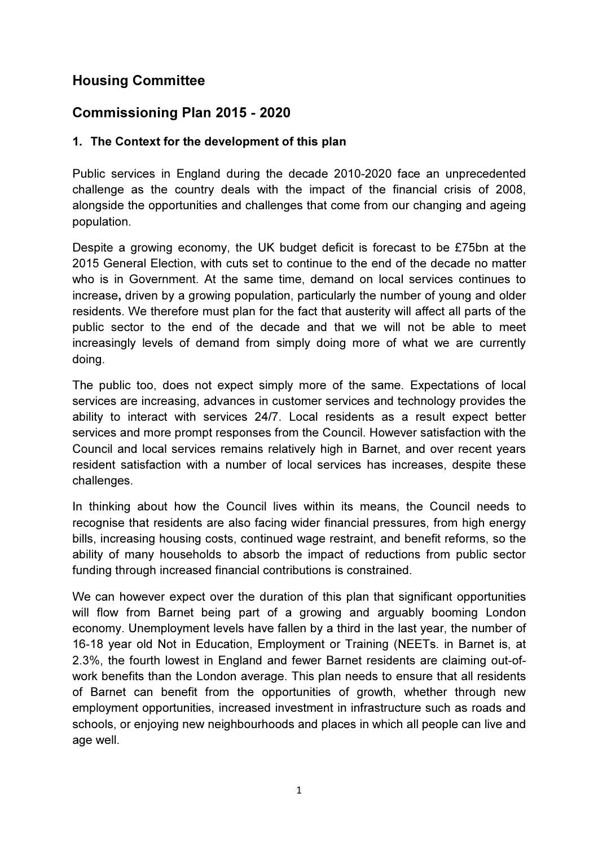# Housing Committee

# Commissioning Plan 2015 - 2020

# 1. The Context for the development of this plan

Public services in England during the decade 2010-2020 face an unprecedented challenge as the country deals with the impact of the financial crisis of 2008, alongside the opportunities and challenges that come from our changing and ageing population.

Despite a growing economy, the UK budget deficit is forecast to be £75bn at the 2015 General Election, with cuts set to continue to the end of the decade no matter who is in Government. At the same time, demand on local services continues to increase, driven by a growing population, particularly the number of young and older residents. We therefore must plan for the fact that austerity will affect all parts of the public sector to the end of the decade and that we will not be able to meet increasingly levels of demand from simply doing more of what we are currently doing.

The public too, does not expect simply more of the same. Expectations of local services are increasing, advances in customer services and technology provides the ability to interact with services 24/7. Local residents as a result expect better services and more prompt responses from the Council. However satisfaction with the Council and local services remains relatively high in Barnet, and over recent years resident satisfaction with a number of local services has increases, despite these challenges.

In thinking about how the Council lives within its means, the Council needs to recognise that residents are also facing wider financial pressures, from high energy bills, increasing housing costs, continued wage restraint, and benefit reforms, so the ability of many households to absorb the impact of reductions from public sector funding through increased financial contributions is constrained.

We can however expect over the duration of this plan that significant opportunities will flow from Barnet being part of a growing and arguably booming London economy. Unemployment levels have fallen by a third in the last year, the number of 16-18 year old Not in Education, Employment or Training (NEETs. in Barnet is, at 2.3%, the fourth lowest in England and fewer Barnet residents are claiming out-ofwork benefits than the London average. This plan needs to ensure that all residents of Barnet can benefit from the opportunities of growth, whether through new employment opportunities, increased investment in infrastructure such as roads and schools, or enjoying new neighbourhoods and places in which all people can live and age well.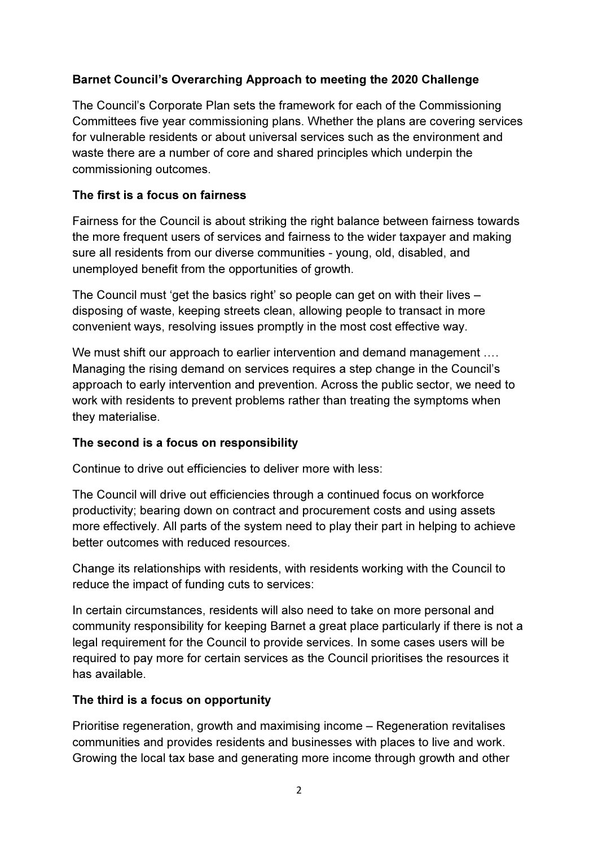# Barnet Council's Overarching Approach to meeting the 2020 Challenge

The Council's Corporate Plan sets the framework for each of the Commissioning Committees five year commissioning plans. Whether the plans are covering services for vulnerable residents or about universal services such as the environment and waste there are a number of core and shared principles which underpin the commissioning outcomes.

## The first is a focus on fairness

Fairness for the Council is about striking the right balance between fairness towards the more frequent users of services and fairness to the wider taxpayer and making sure all residents from our diverse communities - young, old, disabled, and unemployed benefit from the opportunities of growth.

The Council must 'get the basics right' so people can get on with their lives – disposing of waste, keeping streets clean, allowing people to transact in more convenient ways, resolving issues promptly in the most cost effective way.

We must shift our approach to earlier intervention and demand management .... Managing the rising demand on services requires a step change in the Council's approach to early intervention and prevention. Across the public sector, we need to work with residents to prevent problems rather than treating the symptoms when they materialise.

## The second is a focus on responsibility

Continue to drive out efficiencies to deliver more with less:

The Council will drive out efficiencies through a continued focus on workforce productivity; bearing down on contract and procurement costs and using assets more effectively. All parts of the system need to play their part in helping to achieve better outcomes with reduced resources.

Change its relationships with residents, with residents working with the Council to reduce the impact of funding cuts to services:

In certain circumstances, residents will also need to take on more personal and community responsibility for keeping Barnet a great place particularly if there is not a legal requirement for the Council to provide services. In some cases users will be required to pay more for certain services as the Council prioritises the resources it has available.

## The third is a focus on opportunity

Prioritise regeneration, growth and maximising income – Regeneration revitalises communities and provides residents and businesses with places to live and work. Growing the local tax base and generating more income through growth and other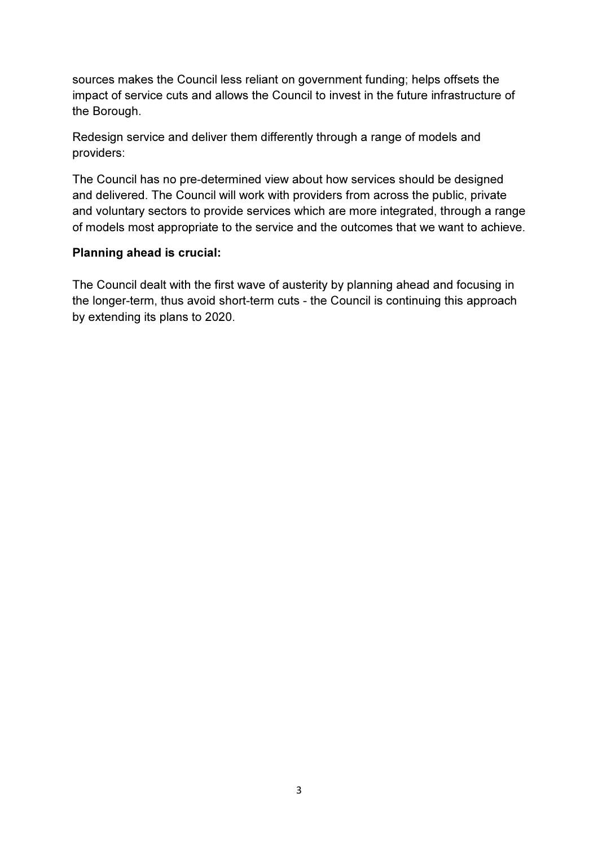sources makes the Council less reliant on government funding; helps offsets the impact of service cuts and allows the Council to invest in the future infrastructure of the Borough.

Redesign service and deliver them differently through a range of models and providers:

The Council has no pre-determined view about how services should be designed and delivered. The Council will work with providers from across the public, private and voluntary sectors to provide services which are more integrated, through a range of models most appropriate to the service and the outcomes that we want to achieve.

## Planning ahead is crucial:

The Council dealt with the first wave of austerity by planning ahead and focusing in the longer-term, thus avoid short-term cuts - the Council is continuing this approach by extending its plans to 2020.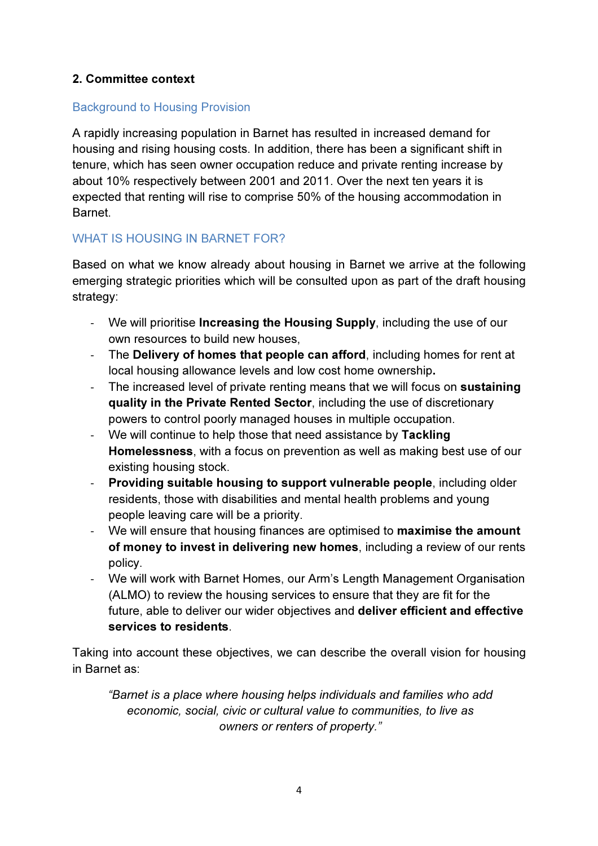# 2. Committee context

# Background to Housing Provision

A rapidly increasing population in Barnet has resulted in increased demand for housing and rising housing costs. In addition, there has been a significant shift in tenure, which has seen owner occupation reduce and private renting increase by about 10% respectively between 2001 and 2011. Over the next ten years it is expected that renting will rise to comprise 50% of the housing accommodation in Barnet.

# WHAT IS HOUSING IN BARNET FOR?

Based on what we know already about housing in Barnet we arrive at the following emerging strategic priorities which will be consulted upon as part of the draft housing strategy:

- We will prioritise **Increasing the Housing Supply**, including the use of our own resources to build new houses,
- The Delivery of homes that people can afford, including homes for rent at local housing allowance levels and low cost home ownership.
- The increased level of private renting means that we will focus on sustaining quality in the Private Rented Sector, including the use of discretionary powers to control poorly managed houses in multiple occupation.
- We will continue to help those that need assistance by Tackling Homelessness, with a focus on prevention as well as making best use of our existing housing stock.
- Providing suitable housing to support vulnerable people, including older residents, those with disabilities and mental health problems and young people leaving care will be a priority.
- We will ensure that housing finances are optimised to maximise the amount of money to invest in delivering new homes, including a review of our rents policy.
- We will work with Barnet Homes, our Arm's Length Management Organisation (ALMO) to review the housing services to ensure that they are fit for the future, able to deliver our wider objectives and deliver efficient and effective services to residents.

Taking into account these objectives, we can describe the overall vision for housing in Barnet as:

"Barnet is a place where housing helps individuals and families who add economic, social, civic or cultural value to communities, to live as owners or renters of property."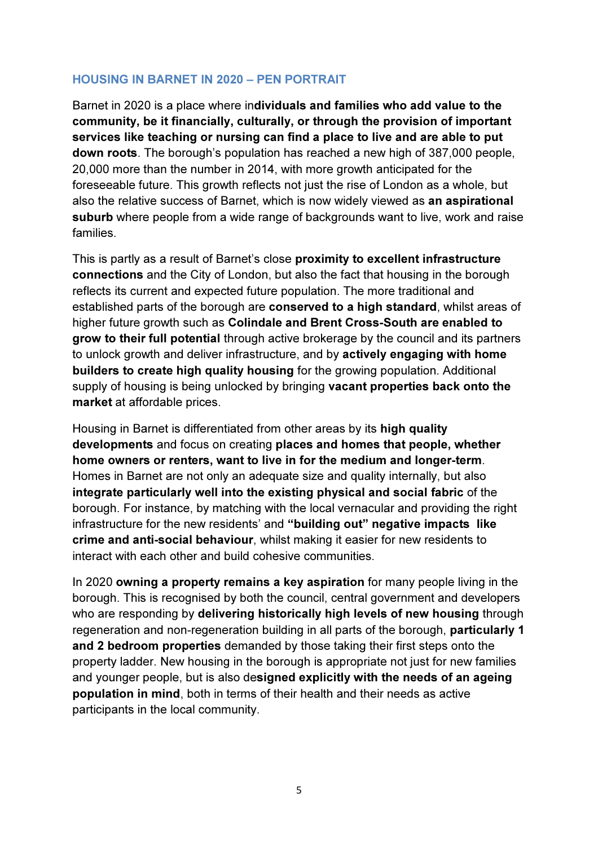## HOUSING IN BARNET IN 2020 – PEN PORTRAIT

Barnet in 2020 is a place where individuals and families who add value to the community, be it financially, culturally, or through the provision of important services like teaching or nursing can find a place to live and are able to put down roots. The borough's population has reached a new high of 387,000 people, 20,000 more than the number in 2014, with more growth anticipated for the foreseeable future. This growth reflects not just the rise of London as a whole, but also the relative success of Barnet, which is now widely viewed as an aspirational suburb where people from a wide range of backgrounds want to live, work and raise families.

This is partly as a result of Barnet's close proximity to excellent infrastructure connections and the City of London, but also the fact that housing in the borough reflects its current and expected future population. The more traditional and established parts of the borough are conserved to a high standard, whilst areas of higher future growth such as Colindale and Brent Cross-South are enabled to grow to their full potential through active brokerage by the council and its partners to unlock growth and deliver infrastructure, and by actively engaging with home builders to create high quality housing for the growing population. Additional supply of housing is being unlocked by bringing vacant properties back onto the market at affordable prices.

Housing in Barnet is differentiated from other areas by its high quality developments and focus on creating places and homes that people, whether home owners or renters, want to live in for the medium and longer-term. Homes in Barnet are not only an adequate size and quality internally, but also integrate particularly well into the existing physical and social fabric of the borough. For instance, by matching with the local vernacular and providing the right infrastructure for the new residents' and "building out" negative impacts like crime and anti-social behaviour, whilst making it easier for new residents to interact with each other and build cohesive communities.

In 2020 owning a property remains a key aspiration for many people living in the borough. This is recognised by both the council, central government and developers who are responding by delivering historically high levels of new housing through regeneration and non-regeneration building in all parts of the borough, particularly 1 and 2 bedroom properties demanded by those taking their first steps onto the property ladder. New housing in the borough is appropriate not just for new families and younger people, but is also designed explicitly with the needs of an ageing population in mind, both in terms of their health and their needs as active participants in the local community.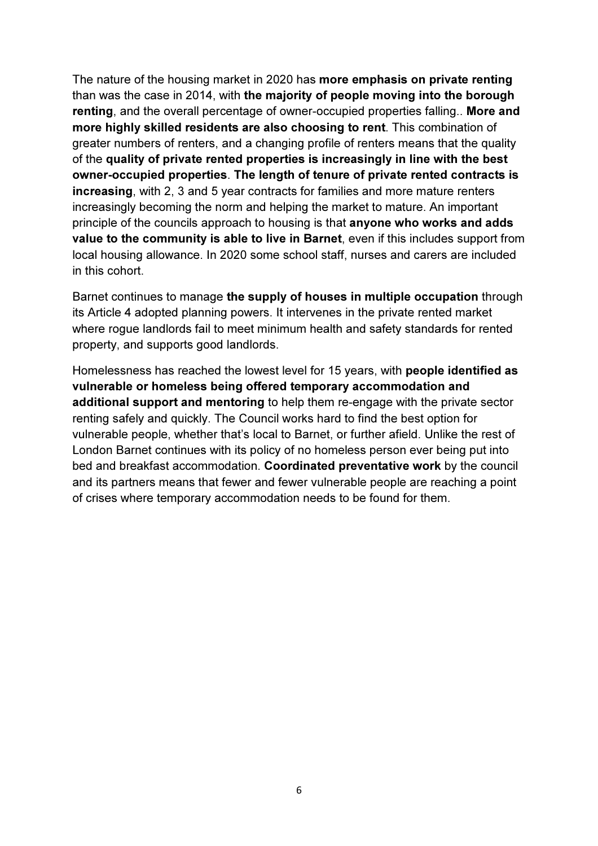The nature of the housing market in 2020 has more emphasis on private renting than was the case in 2014, with the majority of people moving into the borough renting, and the overall percentage of owner-occupied properties falling.. More and more highly skilled residents are also choosing to rent. This combination of greater numbers of renters, and a changing profile of renters means that the quality of the quality of private rented properties is increasingly in line with the best owner-occupied properties. The length of tenure of private rented contracts is increasing, with 2, 3 and 5 year contracts for families and more mature renters increasingly becoming the norm and helping the market to mature. An important principle of the councils approach to housing is that anyone who works and adds value to the community is able to live in Barnet, even if this includes support from local housing allowance. In 2020 some school staff, nurses and carers are included in this cohort.

Barnet continues to manage the supply of houses in multiple occupation through its Article 4 adopted planning powers. It intervenes in the private rented market where rogue landlords fail to meet minimum health and safety standards for rented property, and supports good landlords.

Homelessness has reached the lowest level for 15 years, with people identified as vulnerable or homeless being offered temporary accommodation and additional support and mentoring to help them re-engage with the private sector renting safely and quickly. The Council works hard to find the best option for vulnerable people, whether that's local to Barnet, or further afield. Unlike the rest of London Barnet continues with its policy of no homeless person ever being put into bed and breakfast accommodation. Coordinated preventative work by the council and its partners means that fewer and fewer vulnerable people are reaching a point of crises where temporary accommodation needs to be found for them.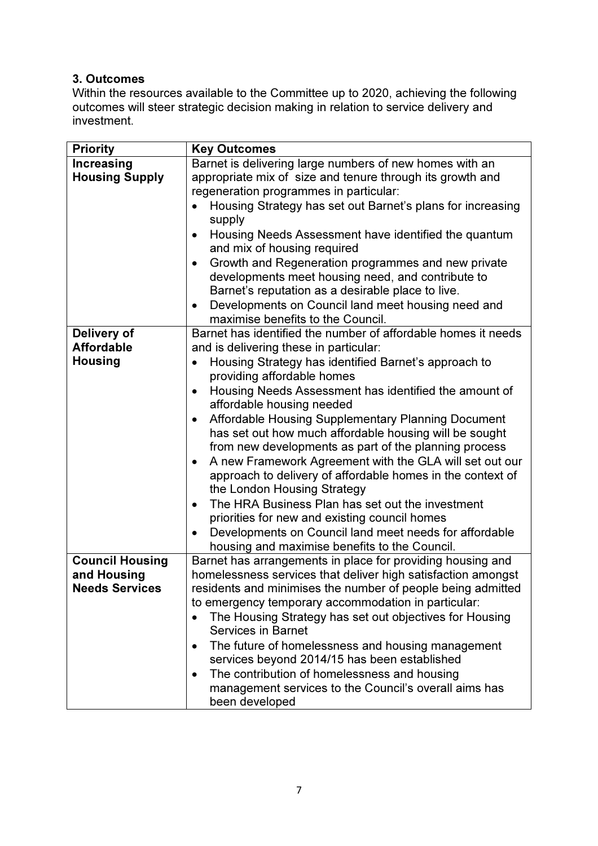# 3. Outcomes

Within the resources available to the Committee up to 2020, achieving the following outcomes will steer strategic decision making in relation to service delivery and investment.

| <b>Priority</b>                      | <b>Key Outcomes</b>                                                                                                         |  |  |
|--------------------------------------|-----------------------------------------------------------------------------------------------------------------------------|--|--|
| <b>Increasing</b>                    | Barnet is delivering large numbers of new homes with an                                                                     |  |  |
| <b>Housing Supply</b>                | appropriate mix of size and tenure through its growth and                                                                   |  |  |
|                                      | regeneration programmes in particular:                                                                                      |  |  |
|                                      | Housing Strategy has set out Barnet's plans for increasing                                                                  |  |  |
|                                      | supply                                                                                                                      |  |  |
|                                      | Housing Needs Assessment have identified the quantum<br>$\bullet$                                                           |  |  |
|                                      | and mix of housing required                                                                                                 |  |  |
|                                      | Growth and Regeneration programmes and new private<br>$\bullet$                                                             |  |  |
|                                      | developments meet housing need, and contribute to                                                                           |  |  |
|                                      | Barnet's reputation as a desirable place to live.                                                                           |  |  |
|                                      | Developments on Council land meet housing need and<br>$\bullet$                                                             |  |  |
|                                      | maximise benefits to the Council.                                                                                           |  |  |
| Delivery of                          | Barnet has identified the number of affordable homes it needs                                                               |  |  |
| <b>Affordable</b>                    | and is delivering these in particular:                                                                                      |  |  |
| <b>Housing</b>                       | Housing Strategy has identified Barnet's approach to<br>$\bullet$                                                           |  |  |
|                                      | providing affordable homes                                                                                                  |  |  |
|                                      | Housing Needs Assessment has identified the amount of<br>$\bullet$                                                          |  |  |
|                                      | affordable housing needed                                                                                                   |  |  |
|                                      | Affordable Housing Supplementary Planning Document<br>$\bullet$                                                             |  |  |
|                                      | has set out how much affordable housing will be sought                                                                      |  |  |
|                                      | from new developments as part of the planning process                                                                       |  |  |
|                                      | A new Framework Agreement with the GLA will set out our<br>$\bullet$                                                        |  |  |
|                                      | approach to delivery of affordable homes in the context of                                                                  |  |  |
|                                      | the London Housing Strategy                                                                                                 |  |  |
|                                      | The HRA Business Plan has set out the investment<br>$\bullet$                                                               |  |  |
|                                      | priorities for new and existing council homes                                                                               |  |  |
|                                      | Developments on Council land meet needs for affordable                                                                      |  |  |
|                                      | housing and maximise benefits to the Council.                                                                               |  |  |
| <b>Council Housing</b>               | Barnet has arrangements in place for providing housing and                                                                  |  |  |
| and Housing<br><b>Needs Services</b> | homelessness services that deliver high satisfaction amongst<br>residents and minimises the number of people being admitted |  |  |
|                                      | to emergency temporary accommodation in particular:                                                                         |  |  |
|                                      | The Housing Strategy has set out objectives for Housing<br>$\bullet$                                                        |  |  |
|                                      | <b>Services in Barnet</b>                                                                                                   |  |  |
|                                      | The future of homelessness and housing management<br>$\bullet$                                                              |  |  |
|                                      | services beyond 2014/15 has been established                                                                                |  |  |
|                                      | The contribution of homelessness and housing<br>$\bullet$                                                                   |  |  |
|                                      | management services to the Council's overall aims has                                                                       |  |  |
|                                      | been developed                                                                                                              |  |  |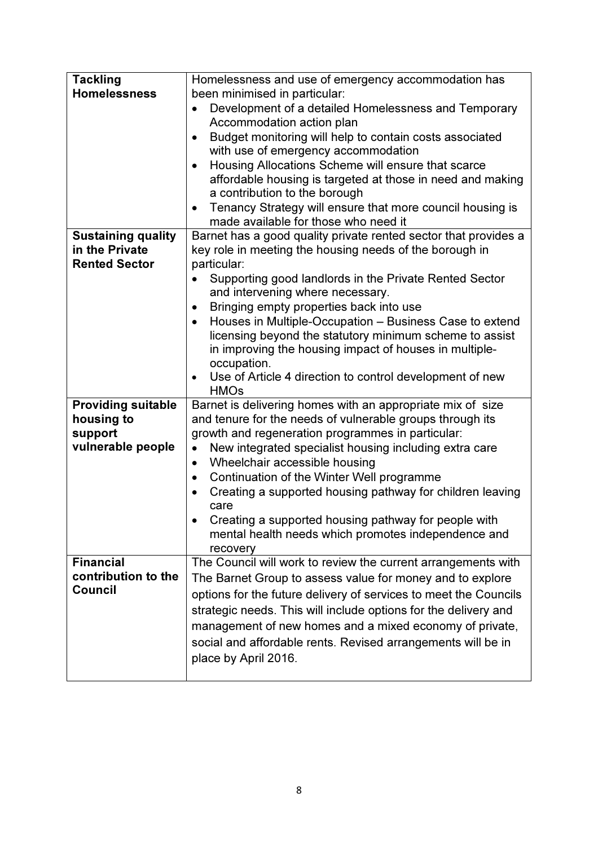| <b>Tackling</b><br><b>Homelessness</b>                                  | Homelessness and use of emergency accommodation has<br>been minimised in particular:<br>Development of a detailed Homelessness and Temporary<br>$\bullet$<br>Accommodation action plan<br>Budget monitoring will help to contain costs associated<br>$\bullet$<br>with use of emergency accommodation<br>Housing Allocations Scheme will ensure that scarce<br>$\bullet$<br>affordable housing is targeted at those in need and making<br>a contribution to the borough<br>Tenancy Strategy will ensure that more council housing is<br>$\bullet$<br>made available for those who need it           |
|-------------------------------------------------------------------------|-----------------------------------------------------------------------------------------------------------------------------------------------------------------------------------------------------------------------------------------------------------------------------------------------------------------------------------------------------------------------------------------------------------------------------------------------------------------------------------------------------------------------------------------------------------------------------------------------------|
| <b>Sustaining quality</b><br>in the Private<br><b>Rented Sector</b>     | Barnet has a good quality private rented sector that provides a<br>key role in meeting the housing needs of the borough in<br>particular:<br>Supporting good landlords in the Private Rented Sector<br>$\bullet$<br>and intervening where necessary.<br>Bringing empty properties back into use<br>$\bullet$<br>Houses in Multiple-Occupation - Business Case to extend<br>$\bullet$<br>licensing beyond the statutory minimum scheme to assist<br>in improving the housing impact of houses in multiple-<br>occupation.<br>Use of Article 4 direction to control development of new<br><b>HMOs</b> |
| <b>Providing suitable</b><br>housing to<br>support<br>vulnerable people | Barnet is delivering homes with an appropriate mix of size<br>and tenure for the needs of vulnerable groups through its<br>growth and regeneration programmes in particular:<br>New integrated specialist housing including extra care<br>$\bullet$<br>Wheelchair accessible housing<br>$\bullet$<br>Continuation of the Winter Well programme<br>$\bullet$<br>Creating a supported housing pathway for children leaving<br>care<br>Creating a supported housing pathway for people with<br>mental health needs which promotes independence and<br>recovery                                         |
| <b>Financial</b><br>contribution to the<br><b>Council</b>               | The Council will work to review the current arrangements with<br>The Barnet Group to assess value for money and to explore<br>options for the future delivery of services to meet the Councils<br>strategic needs. This will include options for the delivery and<br>management of new homes and a mixed economy of private,<br>social and affordable rents. Revised arrangements will be in<br>place by April 2016.                                                                                                                                                                                |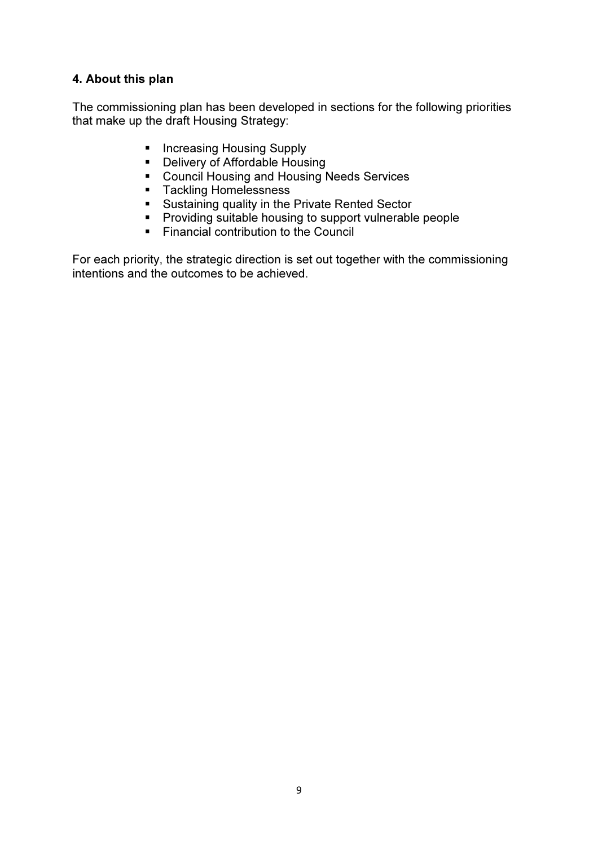# 4. About this plan

The commissioning plan has been developed in sections for the following priorities that make up the draft Housing Strategy:

- **Increasing Housing Supply**
- **•** Delivery of Affordable Housing
- Council Housing and Housing Needs Services
- **Tackling Homelessness**
- Sustaining quality in the Private Rented Sector
- **Providing suitable housing to support vulnerable people**
- Financial contribution to the Council

For each priority, the strategic direction is set out together with the commissioning intentions and the outcomes to be achieved.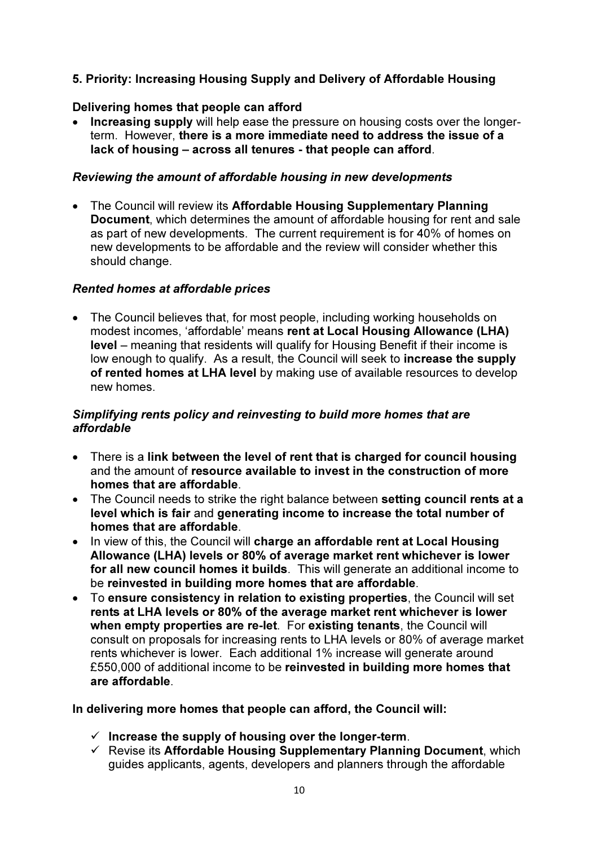# 5. Priority: Increasing Housing Supply and Delivery of Affordable Housing

## Delivering homes that people can afford

• Increasing supply will help ease the pressure on housing costs over the longerterm. However, there is a more immediate need to address the issue of a lack of housing – across all tenures - that people can afford.

## Reviewing the amount of affordable housing in new developments

• The Council will review its Affordable Housing Supplementary Planning Document, which determines the amount of affordable housing for rent and sale as part of new developments. The current requirement is for 40% of homes on new developments to be affordable and the review will consider whether this should change.

## Rented homes at affordable prices

• The Council believes that, for most people, including working households on modest incomes, 'affordable' means rent at Local Housing Allowance (LHA) level – meaning that residents will qualify for Housing Benefit if their income is low enough to qualify. As a result, the Council will seek to increase the supply of rented homes at LHA level by making use of available resources to develop new homes.

## Simplifying rents policy and reinvesting to build more homes that are affordable

- There is a link between the level of rent that is charged for council housing and the amount of resource available to invest in the construction of more homes that are affordable.
- The Council needs to strike the right balance between setting council rents at a level which is fair and generating income to increase the total number of homes that are affordable.
- In view of this, the Council will charge an affordable rent at Local Housing Allowance (LHA) levels or 80% of average market rent whichever is lower for all new council homes it builds. This will generate an additional income to be reinvested in building more homes that are affordable.
- To ensure consistency in relation to existing properties, the Council will set rents at LHA levels or 80% of the average market rent whichever is lower when empty properties are re-let. For existing tenants, the Council will consult on proposals for increasing rents to LHA levels or 80% of average market rents whichever is lower. Each additional 1% increase will generate around £550,000 of additional income to be reinvested in building more homes that are affordable.

## In delivering more homes that people can afford, the Council will:

- $\checkmark$  Increase the supply of housing over the longer-term.
- Revise its Affordable Housing Supplementary Planning Document, which guides applicants, agents, developers and planners through the affordable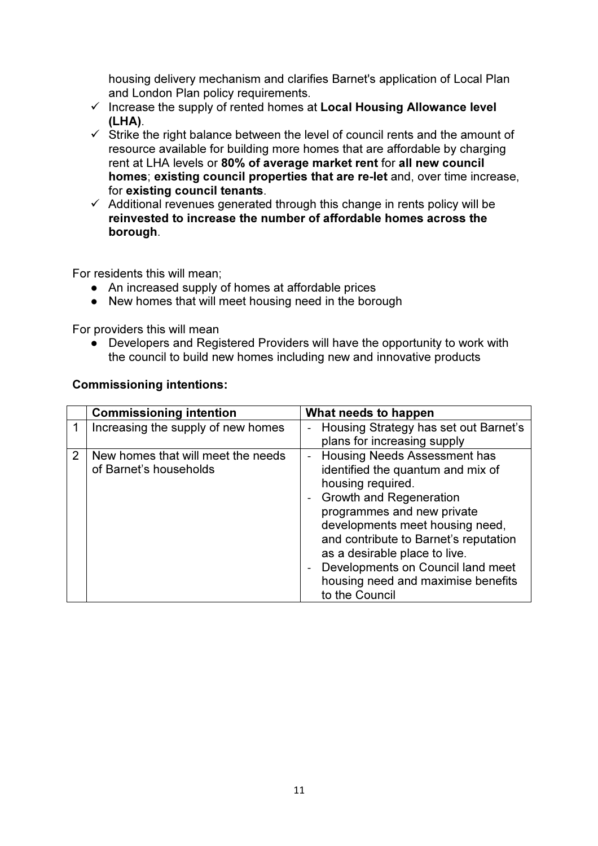housing delivery mechanism and clarifies Barnet's application of Local Plan and London Plan policy requirements.

- $\checkmark$  Increase the supply of rented homes at Local Housing Allowance level (LHA).
- $\checkmark$  Strike the right balance between the level of council rents and the amount of resource available for building more homes that are affordable by charging rent at LHA levels or 80% of average market rent for all new council homes; existing council properties that are re-let and, over time increase, for existing council tenants.
- $\checkmark$  Additional revenues generated through this change in rents policy will be reinvested to increase the number of affordable homes across the borough.

For residents this will mean;

- An increased supply of homes at affordable prices
- New homes that will meet housing need in the borough

For providers this will mean

● Developers and Registered Providers will have the opportunity to work with the council to build new homes including new and innovative products

#### Commissioning intentions:

|   | <b>Commissioning intention</b>     | What needs to happen                  |
|---|------------------------------------|---------------------------------------|
|   | Increasing the supply of new homes | Housing Strategy has set out Barnet's |
|   |                                    | plans for increasing supply           |
| 2 | New homes that will meet the needs | <b>Housing Needs Assessment has</b>   |
|   | of Barnet's households             | identified the quantum and mix of     |
|   |                                    | housing required.                     |
|   |                                    | <b>Growth and Regeneration</b>        |
|   |                                    | programmes and new private            |
|   |                                    | developments meet housing need,       |
|   |                                    | and contribute to Barnet's reputation |
|   |                                    | as a desirable place to live.         |
|   |                                    | Developments on Council land meet     |
|   |                                    | housing need and maximise benefits    |
|   |                                    | to the Council                        |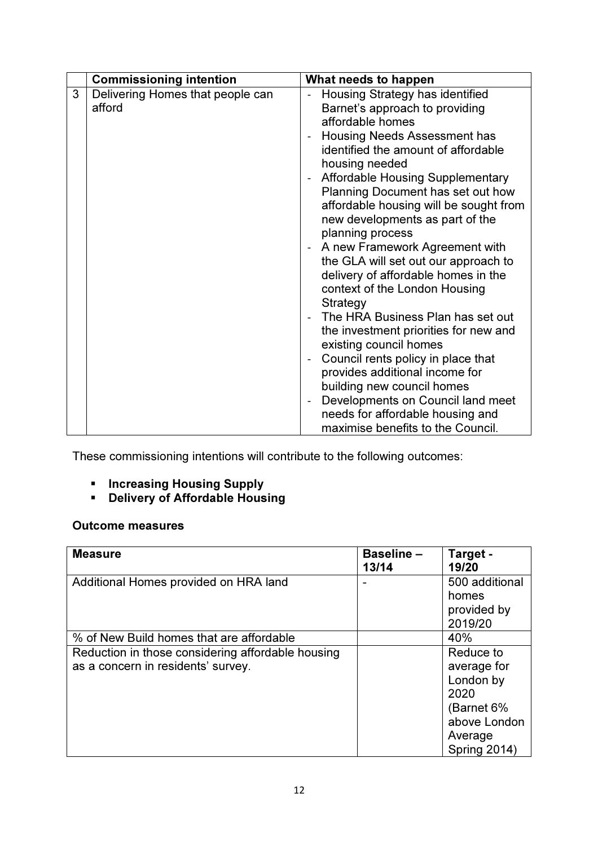|   | <b>Commissioning intention</b>             | What needs to happen                                                                                                                                                                                                                                                                                                                                                                                                                                                                                                                                                                                                                                                                                                                                                                                                                                        |
|---|--------------------------------------------|-------------------------------------------------------------------------------------------------------------------------------------------------------------------------------------------------------------------------------------------------------------------------------------------------------------------------------------------------------------------------------------------------------------------------------------------------------------------------------------------------------------------------------------------------------------------------------------------------------------------------------------------------------------------------------------------------------------------------------------------------------------------------------------------------------------------------------------------------------------|
| 3 | Delivering Homes that people can<br>afford | Housing Strategy has identified<br>Barnet's approach to providing<br>affordable homes<br>Housing Needs Assessment has<br>identified the amount of affordable<br>housing needed<br><b>Affordable Housing Supplementary</b><br>Planning Document has set out how<br>affordable housing will be sought from<br>new developments as part of the<br>planning process<br>- A new Framework Agreement with<br>the GLA will set out our approach to<br>delivery of affordable homes in the<br>context of the London Housing<br>Strategy<br>The HRA Business Plan has set out<br>the investment priorities for new and<br>existing council homes<br>Council rents policy in place that<br>provides additional income for<br>building new council homes<br>Developments on Council land meet<br>needs for affordable housing and<br>maximise benefits to the Council. |

These commissioning intentions will contribute to the following outcomes:

- **Increasing Housing Supply**
- **Delivery of Affordable Housing**

## Outcome measures

| <b>Measure</b>                                    | <b>Baseline-</b><br>13/14 | Target -<br>19/20 |
|---------------------------------------------------|---------------------------|-------------------|
| Additional Homes provided on HRA land             |                           | 500 additional    |
|                                                   |                           | homes             |
|                                                   |                           | provided by       |
|                                                   |                           | 2019/20           |
| % of New Build homes that are affordable          |                           | 40%               |
| Reduction in those considering affordable housing |                           | Reduce to         |
| as a concern in residents' survey.                |                           | average for       |
|                                                   |                           | London by         |
|                                                   |                           | 2020              |
|                                                   |                           | (Barnet 6%        |
|                                                   |                           | above London      |
|                                                   |                           | Average           |
|                                                   |                           | Spring 2014)      |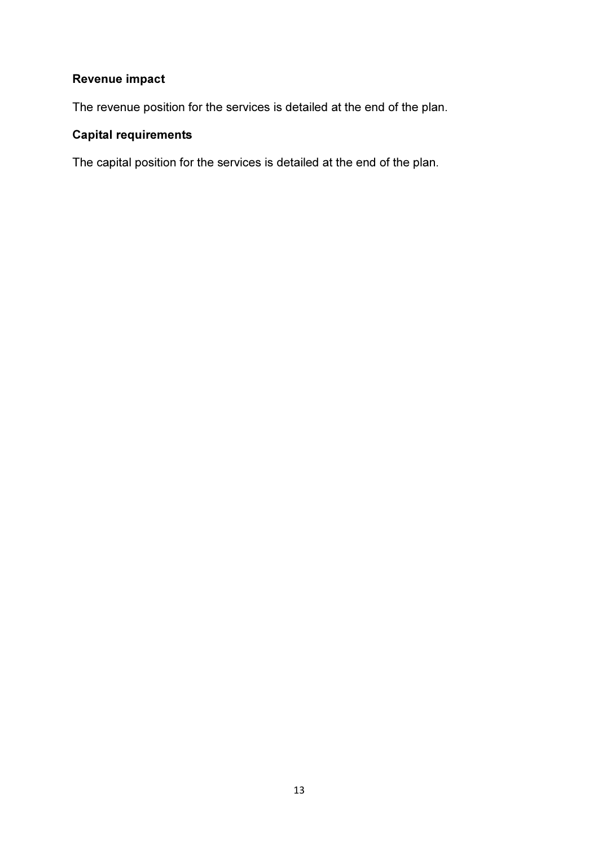# Revenue impact

The revenue position for the services is detailed at the end of the plan.

# Capital requirements

The capital position for the services is detailed at the end of the plan.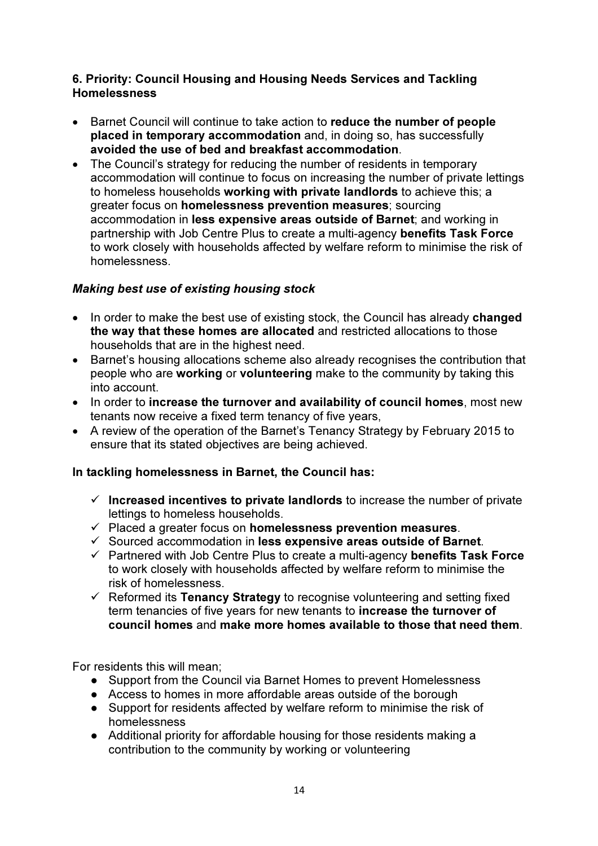## 6. Priority: Council Housing and Housing Needs Services and Tackling Homelessness

- Barnet Council will continue to take action to reduce the number of people placed in temporary accommodation and, in doing so, has successfully avoided the use of bed and breakfast accommodation.
- The Council's strategy for reducing the number of residents in temporary accommodation will continue to focus on increasing the number of private lettings to homeless households working with private landlords to achieve this; a greater focus on homelessness prevention measures; sourcing accommodation in less expensive areas outside of Barnet; and working in partnership with Job Centre Plus to create a multi-agency benefits Task Force to work closely with households affected by welfare reform to minimise the risk of homelessness.

# Making best use of existing housing stock

- In order to make the best use of existing stock, the Council has already **changed** the way that these homes are allocated and restricted allocations to those households that are in the highest need.
- Barnet's housing allocations scheme also already recognises the contribution that people who are working or volunteering make to the community by taking this into account.
- In order to increase the turnover and availability of council homes, most new tenants now receive a fixed term tenancy of five years,
- A review of the operation of the Barnet's Tenancy Strategy by February 2015 to ensure that its stated objectives are being achieved.

# In tackling homelessness in Barnet, the Council has:

- $\checkmark$  Increased incentives to private landlords to increase the number of private lettings to homeless households.
- $\checkmark$  Placed a greater focus on homelessness prevention measures.
- $\checkmark$  Sourced accommodation in less expensive areas outside of Barnet.
- Partnered with Job Centre Plus to create a multi-agency benefits Task Force to work closely with households affected by welfare reform to minimise the risk of homelessness.
- $\checkmark$  Reformed its Tenancy Strategy to recognise volunteering and setting fixed term tenancies of five years for new tenants to increase the turnover of council homes and make more homes available to those that need them.

For residents this will mean;

- Support from the Council via Barnet Homes to prevent Homelessness
- Access to homes in more affordable areas outside of the borough
- Support for residents affected by welfare reform to minimise the risk of homelessness
- Additional priority for affordable housing for those residents making a contribution to the community by working or volunteering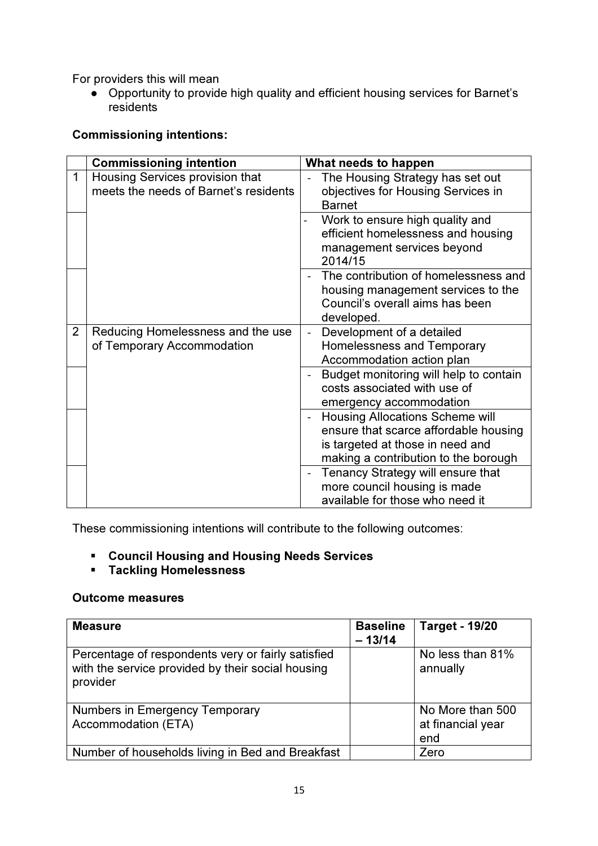For providers this will mean

● Opportunity to provide high quality and efficient housing services for Barnet's residents

## Commissioning intentions:

|                | <b>Commissioning intention</b>                                           | What needs to happen                                                                                                                                        |
|----------------|--------------------------------------------------------------------------|-------------------------------------------------------------------------------------------------------------------------------------------------------------|
| 1              | Housing Services provision that<br>meets the needs of Barnet's residents | The Housing Strategy has set out<br>objectives for Housing Services in<br><b>Barnet</b>                                                                     |
|                |                                                                          | Work to ensure high quality and<br>efficient homelessness and housing<br>management services beyond<br>2014/15                                              |
|                |                                                                          | The contribution of homelessness and<br>housing management services to the<br>Council's overall aims has been<br>developed.                                 |
| $\overline{2}$ | Reducing Homelessness and the use<br>of Temporary Accommodation          | Development of a detailed<br>Homelessness and Temporary<br>Accommodation action plan                                                                        |
|                |                                                                          | Budget monitoring will help to contain<br>costs associated with use of<br>emergency accommodation                                                           |
|                |                                                                          | <b>Housing Allocations Scheme will</b><br>ensure that scarce affordable housing<br>is targeted at those in need and<br>making a contribution to the borough |
|                |                                                                          | Tenancy Strategy will ensure that<br>more council housing is made<br>available for those who need it                                                        |

These commissioning intentions will contribute to the following outcomes:

- Council Housing and Housing Needs Services
- Tackling Homelessness

## Outcome measures

| <b>Measure</b>                                                                                                      | <b>Baseline</b><br>$-13/14$ | <b>Target - 19/20</b>                        |
|---------------------------------------------------------------------------------------------------------------------|-----------------------------|----------------------------------------------|
| Percentage of respondents very or fairly satisfied<br>with the service provided by their social housing<br>provider |                             | No less than 81%<br>annually                 |
| Numbers in Emergency Temporary<br>Accommodation (ETA)                                                               |                             | No More than 500<br>at financial year<br>end |
| Number of households living in Bed and Breakfast                                                                    |                             | Zero                                         |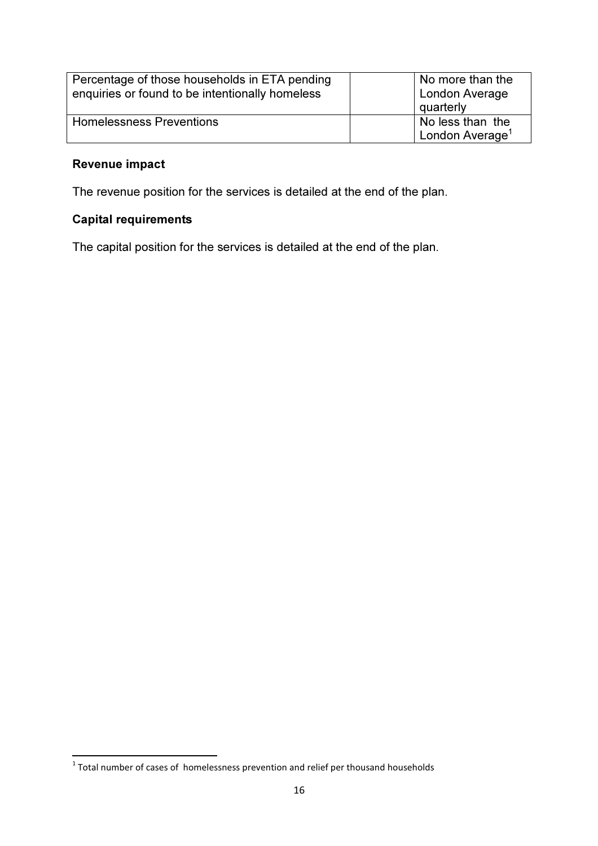| Percentage of those households in ETA pending<br>enquiries or found to be intentionally homeless | No more than the<br>London Average<br>quarterly |
|--------------------------------------------------------------------------------------------------|-------------------------------------------------|
| <b>Homelessness Preventions</b>                                                                  | No less than the<br>London Average <sup>1</sup> |

# Revenue impact

The revenue position for the services is detailed at the end of the plan.

# Capital requirements

The capital position for the services is detailed at the end of the plan.

 1 Total number of cases of homelessness prevention and relief per thousand households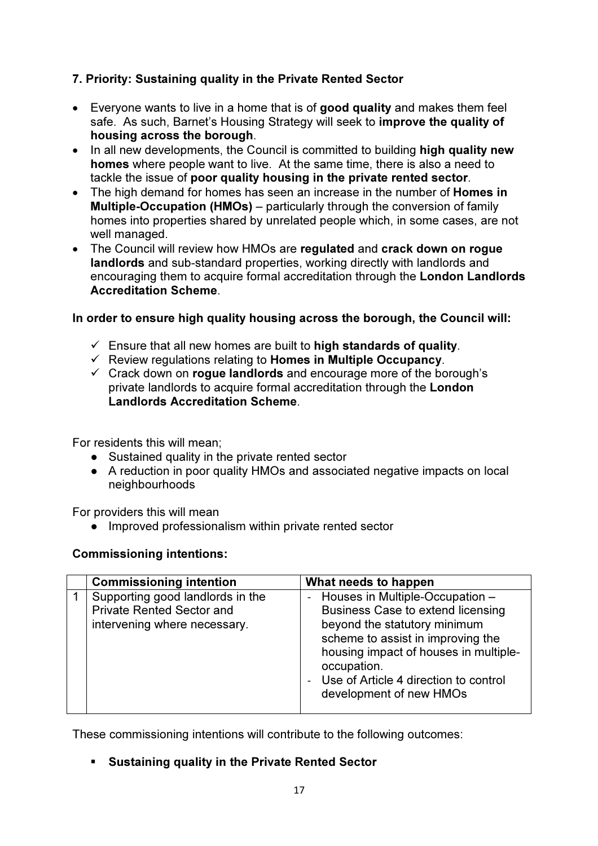# 7. Priority: Sustaining quality in the Private Rented Sector

- Everyone wants to live in a home that is of good quality and makes them feel safe. As such, Barnet's Housing Strategy will seek to improve the quality of housing across the borough.
- In all new developments, the Council is committed to building high quality new homes where people want to live. At the same time, there is also a need to tackle the issue of poor quality housing in the private rented sector.
- The high demand for homes has seen an increase in the number of **Homes in** Multiple-Occupation (HMOs) – particularly through the conversion of family homes into properties shared by unrelated people which, in some cases, are not well managed.
- The Council will review how HMOs are regulated and crack down on rogue landlords and sub-standard properties, working directly with landlords and encouraging them to acquire formal accreditation through the London Landlords Accreditation Scheme.

## In order to ensure high quality housing across the borough, the Council will:

- $\checkmark$  Ensure that all new homes are built to high standards of quality.
- $\checkmark$  Review regulations relating to Homes in Multiple Occupancy.
- $\checkmark$  Crack down on rogue landlords and encourage more of the borough's private landlords to acquire formal accreditation through the London Landlords Accreditation Scheme.

For residents this will mean;

- Sustained quality in the private rented sector
- A reduction in poor quality HMOs and associated negative impacts on local neighbourhoods

For providers this will mean

● Improved professionalism within private rented sector

# Commissioning intentions:

| <b>Commissioning intention</b>                                                                       | What needs to happen                                                                                                                                                                                                                                                      |
|------------------------------------------------------------------------------------------------------|---------------------------------------------------------------------------------------------------------------------------------------------------------------------------------------------------------------------------------------------------------------------------|
| Supporting good landlords in the<br><b>Private Rented Sector and</b><br>intervening where necessary. | - Houses in Multiple-Occupation -<br>Business Case to extend licensing<br>beyond the statutory minimum<br>scheme to assist in improving the<br>housing impact of houses in multiple-<br>occupation.<br>- Use of Article 4 direction to control<br>development of new HMOs |
|                                                                                                      |                                                                                                                                                                                                                                                                           |

These commissioning intentions will contribute to the following outcomes:

Sustaining quality in the Private Rented Sector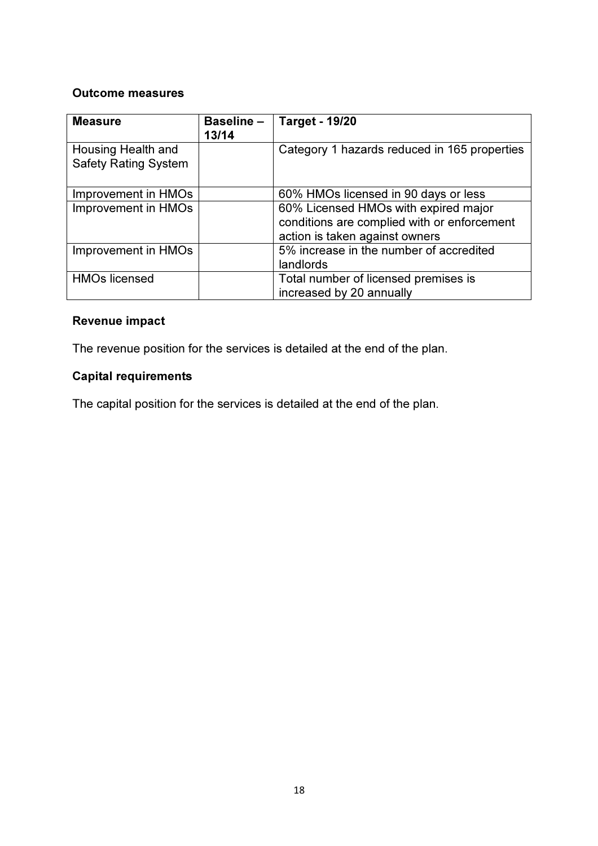#### Outcome measures

| <b>Measure</b>                                    | <b>Baseline-</b><br>13/14 | <b>Target - 19/20</b>                                                                                                 |
|---------------------------------------------------|---------------------------|-----------------------------------------------------------------------------------------------------------------------|
| Housing Health and<br><b>Safety Rating System</b> |                           | Category 1 hazards reduced in 165 properties                                                                          |
| Improvement in HMOs                               |                           | 60% HMOs licensed in 90 days or less                                                                                  |
| Improvement in HMOs                               |                           | 60% Licensed HMOs with expired major<br>conditions are complied with or enforcement<br>action is taken against owners |
| Improvement in HMOs                               |                           | 5% increase in the number of accredited<br>landlords                                                                  |
| <b>HMOs licensed</b>                              |                           | Total number of licensed premises is<br>increased by 20 annually                                                      |

# Revenue impact

The revenue position for the services is detailed at the end of the plan.

# Capital requirements

The capital position for the services is detailed at the end of the plan.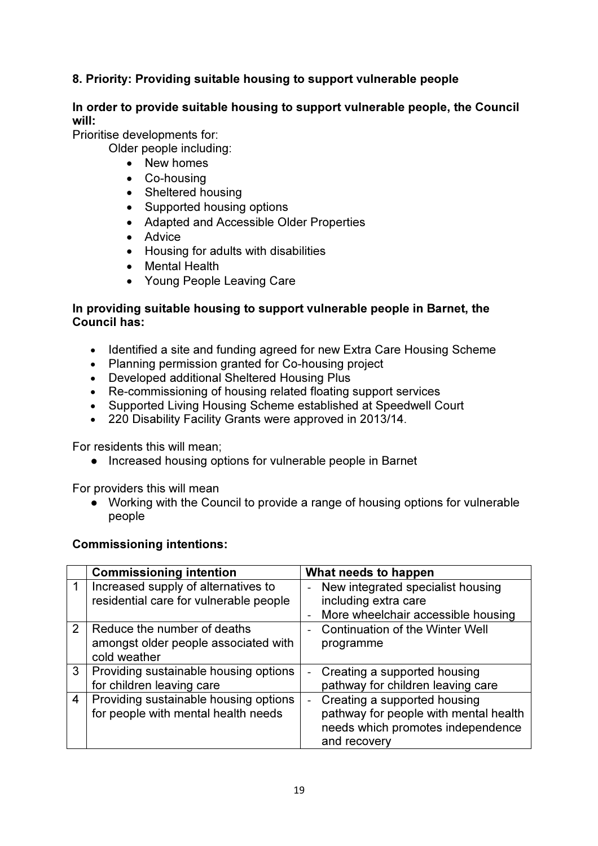# 8. Priority: Providing suitable housing to support vulnerable people

## In order to provide suitable housing to support vulnerable people, the Council will:

Prioritise developments for:

Older people including:

- New homes
- Co-housing
- Sheltered housing
- Supported housing options
- Adapted and Accessible Older Properties
- Advice
- Housing for adults with disabilities
- Mental Health
- Young People Leaving Care

## In providing suitable housing to support vulnerable people in Barnet, the Council has:

- Identified a site and funding agreed for new Extra Care Housing Scheme
- Planning permission granted for Co-housing project
- Developed additional Sheltered Housing Plus
- Re-commissioning of housing related floating support services
- Supported Living Housing Scheme established at Speedwell Court
- 220 Disability Facility Grants were approved in 2013/14.

For residents this will mean;

● Increased housing options for vulnerable people in Barnet

For providers this will mean

• Working with the Council to provide a range of housing options for vulnerable people

## Commissioning intentions:

|   | <b>Commissioning intention</b>                                                      | What needs to happen                                                                                                       |
|---|-------------------------------------------------------------------------------------|----------------------------------------------------------------------------------------------------------------------------|
|   | Increased supply of alternatives to<br>residential care for vulnerable people       | New integrated specialist housing<br>including extra care<br>More wheelchair accessible housing                            |
| 2 | Reduce the number of deaths<br>amongst older people associated with<br>cold weather | <b>Continuation of the Winter Well</b><br>programme                                                                        |
| 3 | Providing sustainable housing options<br>for children leaving care                  | Creating a supported housing<br>pathway for children leaving care                                                          |
| 4 | Providing sustainable housing options<br>for people with mental health needs        | Creating a supported housing<br>pathway for people with mental health<br>needs which promotes independence<br>and recovery |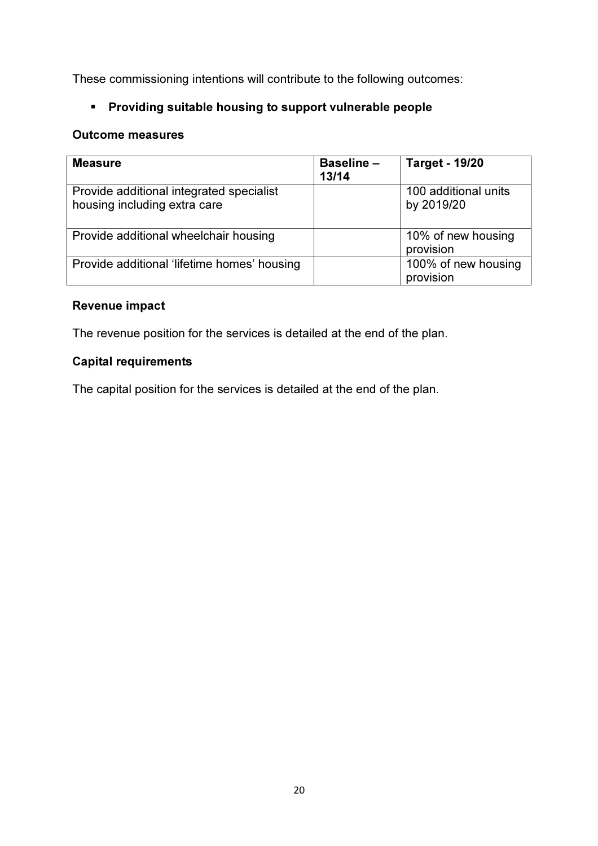These commissioning intentions will contribute to the following outcomes:

# Providing suitable housing to support vulnerable people

## Outcome measures

| <b>Measure</b>                                                           | <b>Baseline -</b><br>13/14 | <b>Target - 19/20</b>              |
|--------------------------------------------------------------------------|----------------------------|------------------------------------|
| Provide additional integrated specialist<br>housing including extra care |                            | 100 additional units<br>by 2019/20 |
| Provide additional wheelchair housing                                    |                            | 10% of new housing<br>provision    |
| Provide additional 'lifetime homes' housing                              |                            | 100% of new housing<br>provision   |

# Revenue impact

The revenue position for the services is detailed at the end of the plan.

# Capital requirements

The capital position for the services is detailed at the end of the plan.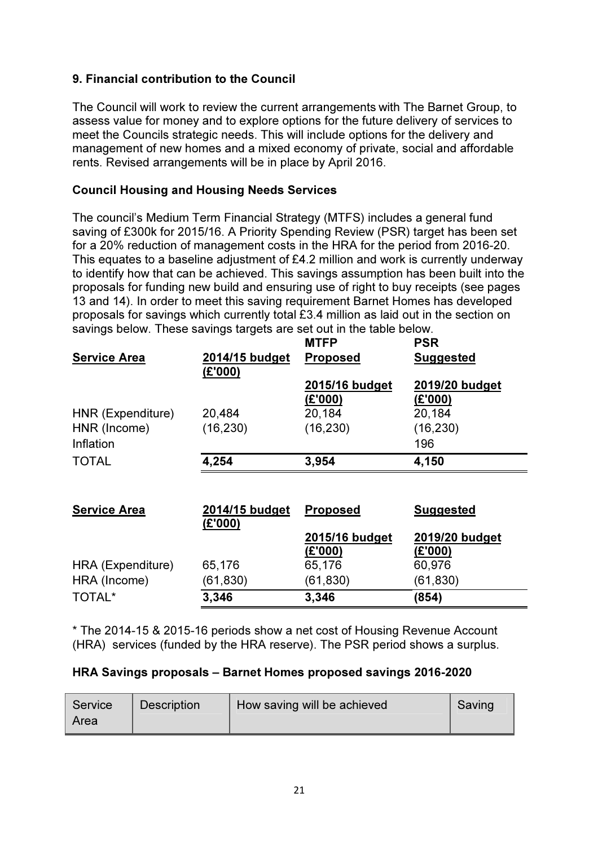# 9. Financial contribution to the Council

The Council will work to review the current arrangements with The Barnet Group, to assess value for money and to explore options for the future delivery of services to meet the Councils strategic needs. This will include options for the delivery and management of new homes and a mixed economy of private, social and affordable rents. Revised arrangements will be in place by April 2016.

## Council Housing and Housing Needs Services

The council's Medium Term Financial Strategy (MTFS) includes a general fund saving of £300k for 2015/16. A Priority Spending Review (PSR) target has been set for a 20% reduction of management costs in the HRA for the period from 2016-20. This equates to a baseline adjustment of £4.2 million and work is currently underway to identify how that can be achieved. This savings assumption has been built into the proposals for funding new build and ensuring use of right to buy receipts (see pages 13 and 14). In order to meet this saving requirement Barnet Homes has developed proposals for savings which currently total £3.4 million as laid out in the section on savings below. These savings targets are set out in the table below.

|                     |                           | <b>MTFP</b>               | <b>PSR</b>                |
|---------------------|---------------------------|---------------------------|---------------------------|
| <b>Service Area</b> | 2014/15 budget<br>(E'000) | <b>Proposed</b>           | <b>Suggested</b>          |
|                     |                           | 2015/16 budget<br>(£'000) | 2019/20 budget<br>(E'000) |
| HNR (Expenditure)   | 20,484                    | 20,184                    | 20,184                    |
| HNR (Income)        | (16, 230)                 | (16, 230)                 | (16, 230)                 |
| Inflation           |                           |                           | 196                       |
| <b>TOTAL</b>        | 4,254                     | 3,954                     | 4,150                     |
|                     |                           |                           |                           |
| <b>Service Area</b> | 2014/15 budget<br>(E'000) | <b>Proposed</b>           | <b>Suggested</b>          |
|                     |                           | 2015/16 budget            | 2019/20 budget            |
|                     |                           | (£'000)                   | (E'000)                   |
| HRA (Expenditure)   | 65,176                    | 65,176                    | 60,976                    |
| HRA (Income)        | (61, 830)                 | (61, 830)                 | (61, 830)                 |
| TOTAL*              | 3,346                     | 3,346                     | (854)                     |

\* The 2014-15 & 2015-16 periods show a net cost of Housing Revenue Account (HRA) services (funded by the HRA reserve). The PSR period shows a surplus.

#### HRA Savings proposals – Barnet Homes proposed savings 2016-2020

| Service<br>Area | <b>Description</b> | How saving will be achieved | Saving |
|-----------------|--------------------|-----------------------------|--------|
|                 |                    |                             |        |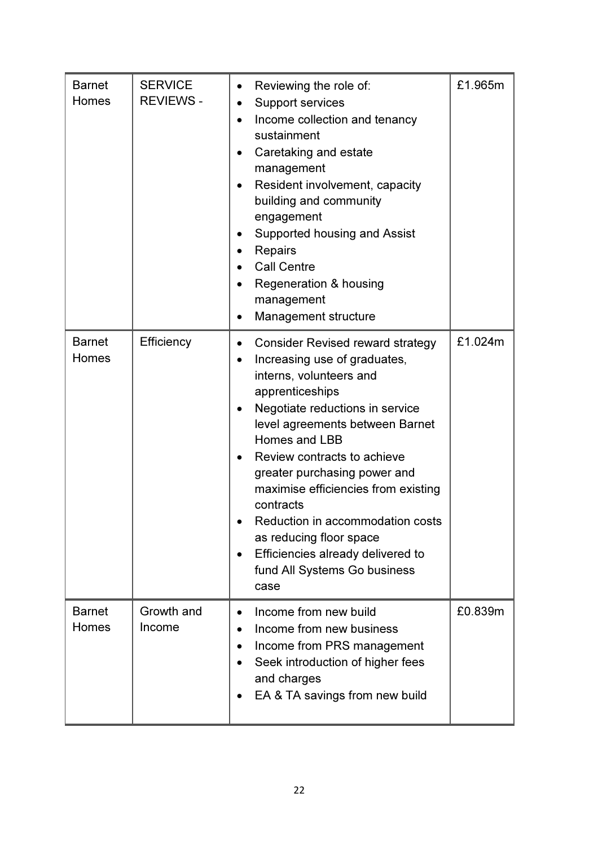| <b>Barnet</b><br>Homes | <b>SERVICE</b><br><b>REVIEWS -</b> | Reviewing the role of:<br>$\bullet$<br><b>Support services</b><br>Income collection and tenancy<br>sustainment<br>Caretaking and estate<br>management<br>Resident involvement, capacity<br>building and community<br>engagement<br>Supported housing and Assist<br><b>Repairs</b><br>$\bullet$<br><b>Call Centre</b><br>Regeneration & housing<br>management<br>Management structure                                                                                                                               | £1.965m |
|------------------------|------------------------------------|--------------------------------------------------------------------------------------------------------------------------------------------------------------------------------------------------------------------------------------------------------------------------------------------------------------------------------------------------------------------------------------------------------------------------------------------------------------------------------------------------------------------|---------|
| <b>Barnet</b><br>Homes | Efficiency                         | <b>Consider Revised reward strategy</b><br>$\bullet$<br>Increasing use of graduates,<br>$\bullet$<br>interns, volunteers and<br>apprenticeships<br>Negotiate reductions in service<br>level agreements between Barnet<br>Homes and LBB<br>Review contracts to achieve<br>$\bullet$<br>greater purchasing power and<br>maximise efficiencies from existing<br>contracts<br>Reduction in accommodation costs<br>as reducing floor space<br>Efficiencies already delivered to<br>fund All Systems Go business<br>case | £1.024m |
| <b>Barnet</b><br>Homes | Growth and<br>Income               | Income from new build<br>$\bullet$<br>Income from new business<br>Income from PRS management<br>Seek introduction of higher fees<br>and charges<br>EA & TA savings from new build                                                                                                                                                                                                                                                                                                                                  | £0.839m |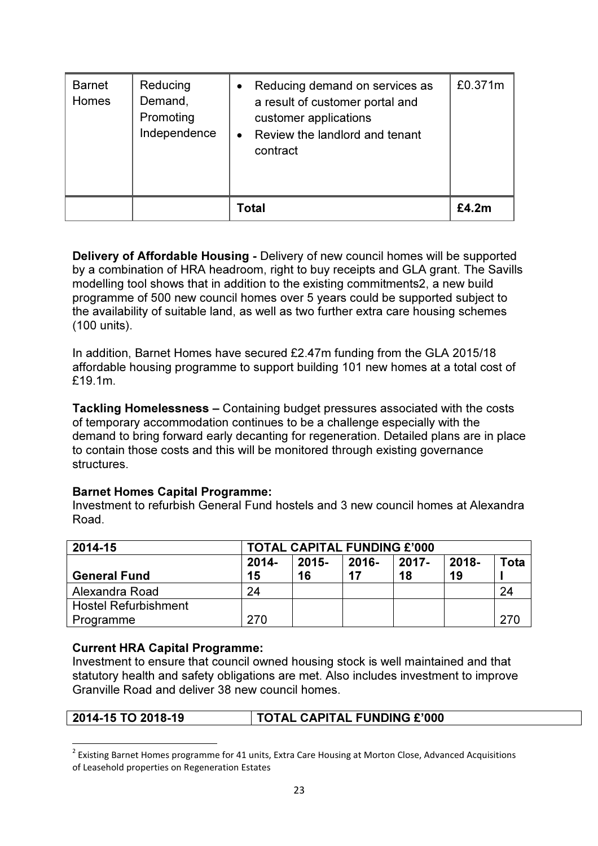| <b>Barnet</b><br>Homes | Reducing<br>Demand,<br>Promoting<br>Independence | Reducing demand on services as<br>a result of customer portal and<br>customer applications<br>Review the landlord and tenant<br>contract | £0.371m      |
|------------------------|--------------------------------------------------|------------------------------------------------------------------------------------------------------------------------------------------|--------------|
|                        |                                                  | Total                                                                                                                                    | <b>£4.2m</b> |

Delivery of Affordable Housing - Delivery of new council homes will be supported by a combination of HRA headroom, right to buy receipts and GLA grant. The Savills modelling tool shows that in addition to the existing commitments2, a new build programme of 500 new council homes over 5 years could be supported subject to the availability of suitable land, as well as two further extra care housing schemes (100 units).

In addition, Barnet Homes have secured £2.47m funding from the GLA 2015/18 affordable housing programme to support building 101 new homes at a total cost of £19.1m.

Tackling Homelessness – Containing budget pressures associated with the costs of temporary accommodation continues to be a challenge especially with the demand to bring forward early decanting for regeneration. Detailed plans are in place to contain those costs and this will be monitored through existing governance **structures** 

## Barnet Homes Capital Programme:

Investment to refurbish General Fund hostels and 3 new council homes at Alexandra Road.

| 2014-15                     | <b>TOTAL CAPITAL FUNDING £'000</b> |          |       |          |       |      |  |
|-----------------------------|------------------------------------|----------|-------|----------|-------|------|--|
|                             | $2014 -$                           | $2015 -$ | 2016- | $2017 -$ | 2018- | Tota |  |
| <b>General Fund</b>         | 15                                 | 16       | 17    | 18       | 19    |      |  |
| Alexandra Road              | 24                                 |          |       |          |       | 24   |  |
| <b>Hostel Refurbishment</b> |                                    |          |       |          |       |      |  |
| Programme                   | 270                                |          |       |          |       | 270  |  |

#### Current HRA Capital Programme:

Investment to ensure that council owned housing stock is well maintained and that statutory health and safety obligations are met. Also includes investment to improve Granville Road and deliver 38 new council homes.

l

#### 2014-15 TO 2018-19 TOTAL CAPITAL FUNDING £'000

 $^2$  Existing Barnet Homes programme for 41 units, Extra Care Housing at Morton Close, Advanced Acquisitions of Leasehold properties on Regeneration Estates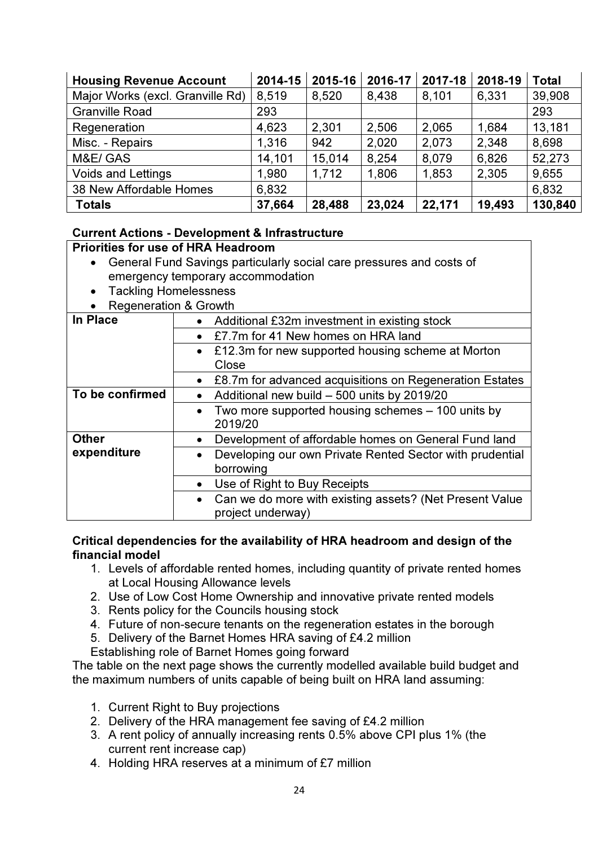| <b>Housing Revenue Account</b>   | 2014-15 | 2015-16 | 2016-17 | 2017-18 | 2018-19 | <b>Total</b> |
|----------------------------------|---------|---------|---------|---------|---------|--------------|
| Major Works (excl. Granville Rd) | 8,519   | 8,520   | 8,438   | 8,101   | 6,331   | 39,908       |
| <b>Granville Road</b>            | 293     |         |         |         |         | 293          |
| Regeneration                     | 4,623   | 2,301   | 2,506   | 2,065   | 1,684   | 13,181       |
| Misc. - Repairs                  | 1,316   | 942     | 2,020   | 2,073   | 2,348   | 8,698        |
| M&E/ GAS                         | 14,101  | 15,014  | 8,254   | 8,079   | 6,826   | 52,273       |
| <b>Voids and Lettings</b>        | 1,980   | 1,712   | 1,806   | 1,853   | 2,305   | 9,655        |
| 38 New Affordable Homes          | 6,832   |         |         |         |         | 6,832        |
| <b>Totals</b>                    | 37,664  | 28,488  | 23,024  | 22,171  | 19,493  | 130,840      |

## Current Actions - Development & Infrastructure

## Priorities for use of HRA Headroom

- General Fund Savings particularly social care pressures and costs of emergency temporary accommodation
- Tackling Homelessness
- Regeneration & Growth

| In Place        | • Additional £32m investment in existing stock                        |
|-----------------|-----------------------------------------------------------------------|
|                 | £7.7m for 41 New homes on HRA land                                    |
|                 | • £12.3m for new supported housing scheme at Morton                   |
|                 | Close                                                                 |
|                 | £8.7m for advanced acquisitions on Regeneration Estates<br>$\bullet$  |
| To be confirmed | Additional new build - 500 units by 2019/20<br>$\bullet$              |
|                 | Two more supported housing schemes – 100 units by                     |
|                 | 2019/20                                                               |
| <b>Other</b>    | Development of affordable homes on General Fund land<br>$\bullet$     |
| expenditure     | Developing our own Private Rented Sector with prudential<br>$\bullet$ |
|                 | borrowing                                                             |
|                 | Use of Right to Buy Receipts<br>$\bullet$                             |
|                 | • Can we do more with existing assets? (Net Present Value             |
|                 | project underway)                                                     |

## Critical dependencies for the availability of HRA headroom and design of the financial model

- 1. Levels of affordable rented homes, including quantity of private rented homes at Local Housing Allowance levels
- 2. Use of Low Cost Home Ownership and innovative private rented models
- 3. Rents policy for the Councils housing stock
- 4. Future of non-secure tenants on the regeneration estates in the borough
- 5. Delivery of the Barnet Homes HRA saving of £4.2 million
- Establishing role of Barnet Homes going forward

The table on the next page shows the currently modelled available build budget and the maximum numbers of units capable of being built on HRA land assuming:

- 1. Current Right to Buy projections
- 2. Delivery of the HRA management fee saving of £4.2 million
- 3. A rent policy of annually increasing rents 0.5% above CPI plus 1% (the current rent increase cap)
- 4. Holding HRA reserves at a minimum of £7 million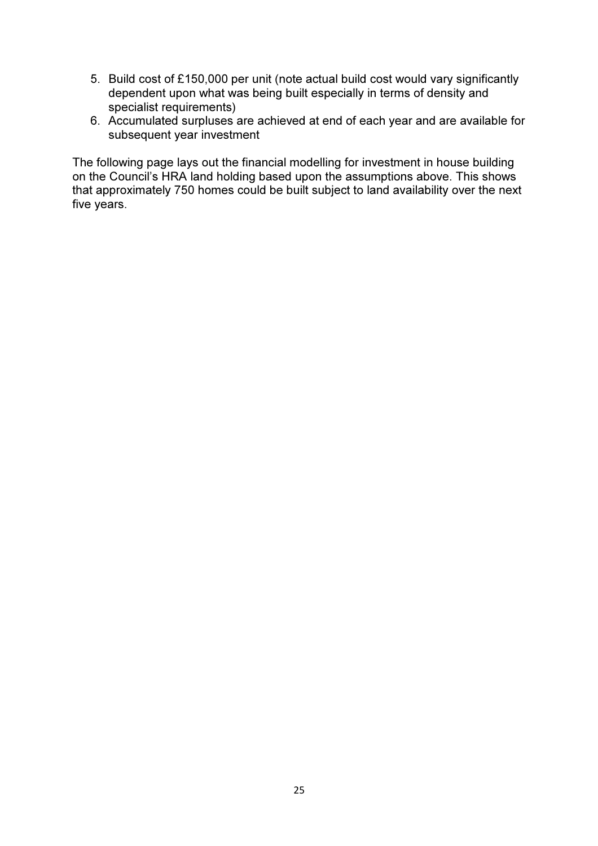- 5. Build cost of £150,000 per unit (note actual build cost would vary significantly dependent upon what was being built especially in terms of density and specialist requirements)
- 6. Accumulated surpluses are achieved at end of each year and are available for subsequent year investment

The following page lays out the financial modelling for investment in house building on the Council's HRA land holding based upon the assumptions above. This shows that approximately 750 homes could be built subject to land availability over the next five years.